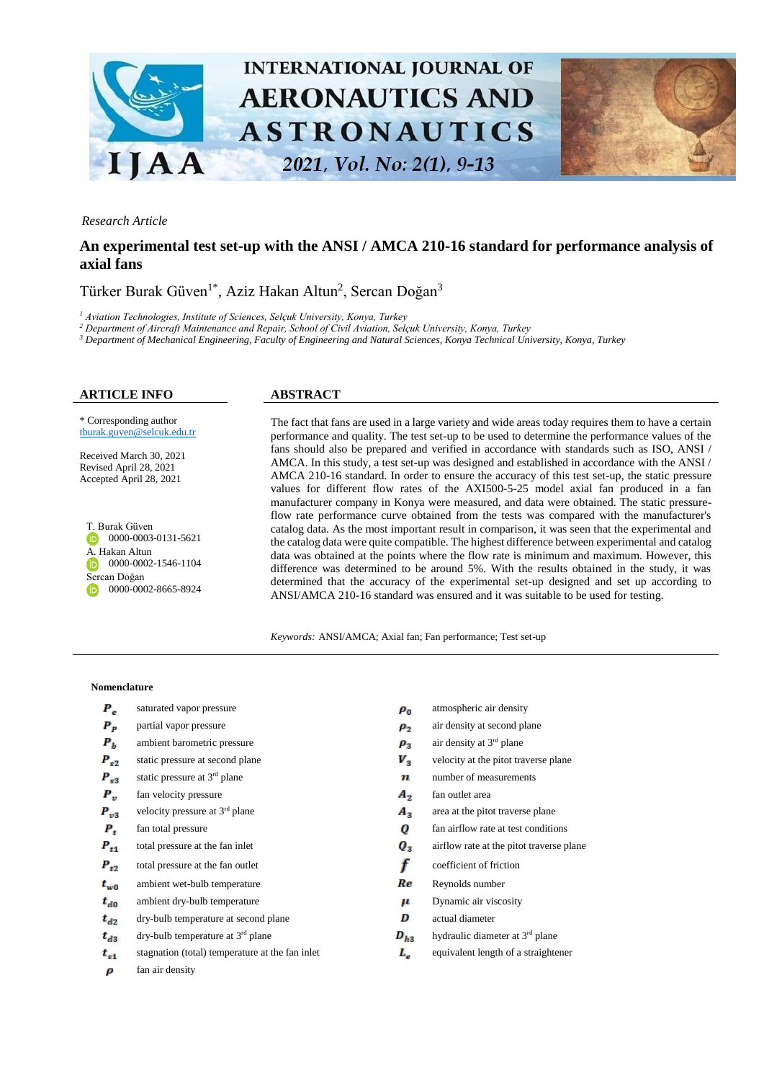

### *Research Article*

# **An experimental test set-up with the ANSI / AMCA 210-16 standard for performance analysis of axial fans**

# Türker Burak Güven<sup>1\*</sup>, Aziz Hakan Altun<sup>2</sup>, Sercan Doğan<sup>3</sup>

*<sup>1</sup> Aviation Technologies, Institute of Sciences, Selçuk University, Konya, Turkey*

*<sup>2</sup> Department of Aircraft Maintenance and Repair, School of Civil Aviation, Selçuk University, Konya, Turkey*

*<sup>3</sup> Department of Mechanical Engineering, Faculty of Engineering and Natural Sciences, Konya Technical University, Konya, Turkey*

#### **ARTICLE INFO ABSTRACT**

\* Corresponding author [tburak.guven@s](mailto:tburak.guven@)elcuk.edu.tr

Received March 30, 2021 Revised April 28, 2021 Accepted April 28, 2021

T. Burak Güven  $\n 0000 - 0003 - 0131 - 5621\n$ A. Hakan Altun 0000-0002-1546-1104 Sercan Doğan **D** 0000-0002-8665-8924

The fact that fans are used in a large variety and wide areas today requires them to have a certain performance and quality. The test set-up to be used to determine the performance values of the fans should also be prepared and verified in accordance with standards such as ISO, ANSI / AMCA. In this study, a test set-up was designed and established in accordance with the ANSI / AMCA 210-16 standard. In order to ensure the accuracy of this test set-up, the static pressure values for different flow rates of the AXI500-5-25 model axial fan produced in a fan manufacturer company in Konya were measured, and data were obtained. The static pressureflow rate performance curve obtained from the tests was compared with the manufacturer's catalog data. As the most important result in comparison, it was seen that the experimental and the catalog data were quite compatible. The highest difference between experimental and catalog data was obtained at the points where the flow rate is minimum and maximum. However, this difference was determined to be around 5%. With the results obtained in the study, it was determined that the accuracy of the experimental set-up designed and set up according to ANSI/AMCA 210-16 standard was ensured and it was suitable to be used for testing.

*Keywords:* ANSI/AMCA; Axial fan; Fan performance; Test set-up

#### **Nomenclature**

- $P_e$
- $P_p$
- $P<sub>h</sub>$ ambient barometric pressure  $\rho_3$
- $P_{c2}$
- $P_{s3}$ static pressure at 3<sup>rd</sup> plane
- $P_{\nu}$
- $P_{v3}$ velocity pressure at 3<sup>rd</sup> plane
- $P_t$
- $P_{t1}$
- $P_{t2}$
- ambient wet-bulb temperature  $\mathbf{R}e$  Reynolds number  $t_{w0}$
- $t_{d0}$ ambient dry-bulb temperature  $\mu$  Dynamic air viscosity
- $\mathbf{d}$  dry-bulb temperature at second plane actual diameter  $t_{d2}$
- $t_{A2}$ dry-bulb temperature at 3<sup>rd</sup> plane
- $t_{\rm{c1}}$
- fan air density $\boldsymbol{p}$
- saturated vapor pressure  $\rho_0$  atmospheric air density partial vapor pressure  $\rho_2$  air density at second plane air density at 3<sup>rd</sup> plane static pressure at second plane velocity at the pitot traverse plane velocity at the pitot traverse plane  $\boldsymbol{n}$  number of measurements fan velocity pressure  $\mathbf{A}_2$  fan outlet area  $A_3$  area at the pitot traverse plane fan total pressure fan airflow rate at test conditions  $\boldsymbol{0}$  fan airflow rate at test conditions total pressure at the fan inlet  $\bf{Q}_3$  airflow rate at the pitot traverse plane total pressure at the fan outlet  $\mathbf{f}$  coefficient of friction <sup>rd</sup> plane  $D_{h3}$  hydraulic diameter at 3<sup>rd</sup> plane stagnation (total) temperature at the fan inlet  $L_e$  equivalent length of a straightener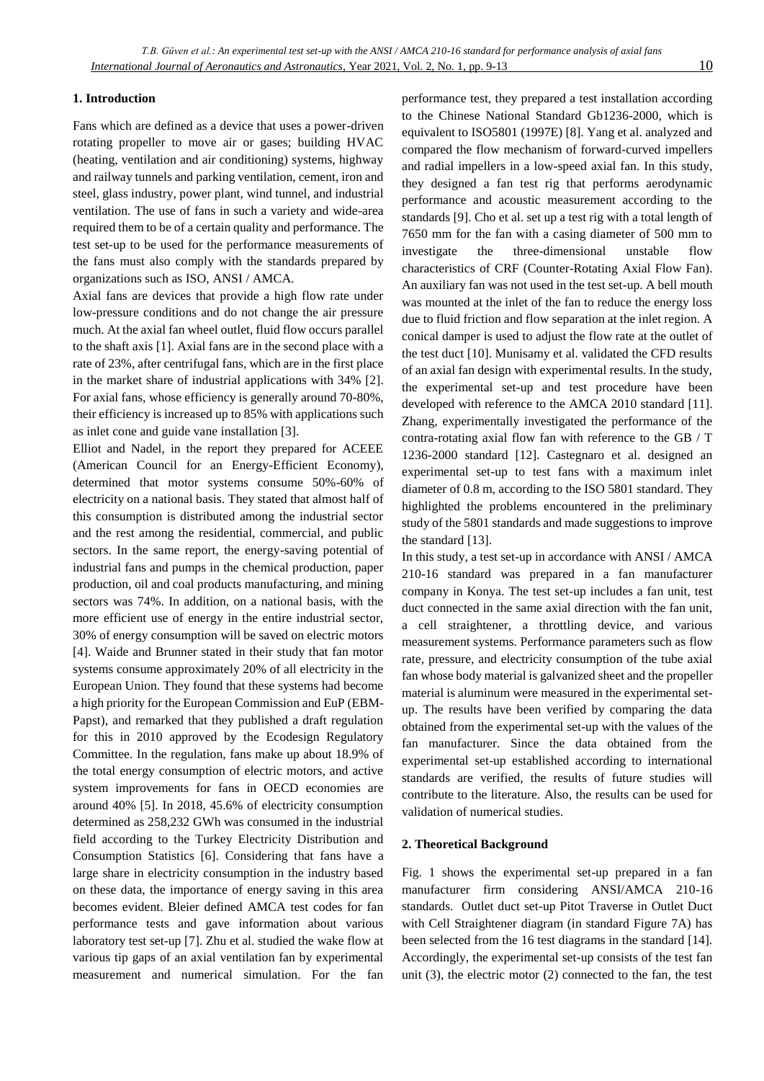## **1. Introduction**

Fans which are defined as a device that uses a power-driven rotating propeller to move air or gases; building HVAC (heating, ventilation and air conditioning) systems, highway and railway tunnels and parking ventilation, cement, iron and steel, glass industry, power plant, wind tunnel, and industrial ventilation. The use of fans in such a variety and wide-area required them to be of a certain quality and performance. The test set-up to be used for the performance measurements of the fans must also comply with the standards prepared by organizations such as ISO, ANSI / AMCA.

Axial fans are devices that provide a high flow rate under low-pressure conditions and do not change the air pressure much. At the axial fan wheel outlet, fluid flow occurs parallel to the shaft axis [1]. Axial fans are in the second place with a rate of 23%, after centrifugal fans, which are in the first place in the market share of industrial applications with 34% [2]. For axial fans, whose efficiency is generally around 70-80%, their efficiency is increased up to 85% with applications such as inlet cone and guide vane installation [3].

Elliot and Nadel, in the report they prepared for ACEEE (American Council for an Energy-Efficient Economy), determined that motor systems consume 50%-60% of electricity on a national basis. They stated that almost half of this consumption is distributed among the industrial sector and the rest among the residential, commercial, and public sectors. In the same report, the energy-saving potential of industrial fans and pumps in the chemical production, paper production, oil and coal products manufacturing, and mining sectors was 74%. In addition, on a national basis, with the more efficient use of energy in the entire industrial sector, 30% of energy consumption will be saved on electric motors [4]. Waide and Brunner stated in their study that fan motor systems consume approximately 20% of all electricity in the European Union. They found that these systems had become a high priority for the European Commission and EuP (EBM-Papst), and remarked that they published a draft regulation for this in 2010 approved by the Ecodesign Regulatory Committee. In the regulation, fans make up about 18.9% of the total energy consumption of electric motors, and active system improvements for fans in OECD economies are around 40% [5]. In 2018, 45.6% of electricity consumption determined as 258,232 GWh was consumed in the industrial field according to the Turkey Electricity Distribution and Consumption Statistics [6]. Considering that fans have a large share in electricity consumption in the industry based on these data, the importance of energy saving in this area becomes evident. Bleier defined AMCA test codes for fan performance tests and gave information about various laboratory test set-up [7]. Zhu et al. studied the wake flow at various tip gaps of an axial ventilation fan by experimental measurement and numerical simulation. For the fan

performance test, they prepared a test installation according to the Chinese National Standard Gb1236-2000, which is equivalent to ISO5801 (1997E) [8]. Yang et al. analyzed and compared the flow mechanism of forward-curved impellers and radial impellers in a low-speed axial fan. In this study, they designed a fan test rig that performs aerodynamic performance and acoustic measurement according to the standards [9]. Cho et al. set up a test rig with a total length of 7650 mm for the fan with a casing diameter of 500 mm to investigate the three-dimensional unstable flow characteristics of CRF (Counter-Rotating Axial Flow Fan). An auxiliary fan was not used in the test set-up. A bell mouth was mounted at the inlet of the fan to reduce the energy loss due to fluid friction and flow separation at the inlet region. A conical damper is used to adjust the flow rate at the outlet of the test duct [10]. Munisamy et al. validated the CFD results of an axial fan design with experimental results. In the study, the experimental set-up and test procedure have been developed with reference to the AMCA 2010 standard [11]. Zhang, experimentally investigated the performance of the contra-rotating axial flow fan with reference to the GB / T 1236-2000 standard [12]. Castegnaro et al. designed an experimental set-up to test fans with a maximum inlet diameter of 0.8 m, according to the ISO 5801 standard. They highlighted the problems encountered in the preliminary study of the 5801 standards and made suggestions to improve the standard [13].

In this study, a test set-up in accordance with ANSI / AMCA 210-16 standard was prepared in a fan manufacturer company in Konya. The test set-up includes a fan unit, test duct connected in the same axial direction with the fan unit, a cell straightener, a throttling device, and various measurement systems. Performance parameters such as flow rate, pressure, and electricity consumption of the tube axial fan whose body material is galvanized sheet and the propeller material is aluminum were measured in the experimental setup. The results have been verified by comparing the data obtained from the experimental set-up with the values of the fan manufacturer. Since the data obtained from the experimental set-up established according to international standards are verified, the results of future studies will contribute to the literature. Also, the results can be used for validation of numerical studies.

#### **2. Theoretical Background**

Fig. 1 shows the experimental set-up prepared in a fan manufacturer firm considering ANSI/AMCA 210-16 standards. Outlet duct set-up Pitot Traverse in Outlet Duct with Cell Straightener diagram (in standard Figure 7A) has been selected from the 16 test diagrams in the standard [14]. Accordingly, the experimental set-up consists of the test fan unit (3), the electric motor (2) connected to the fan, the test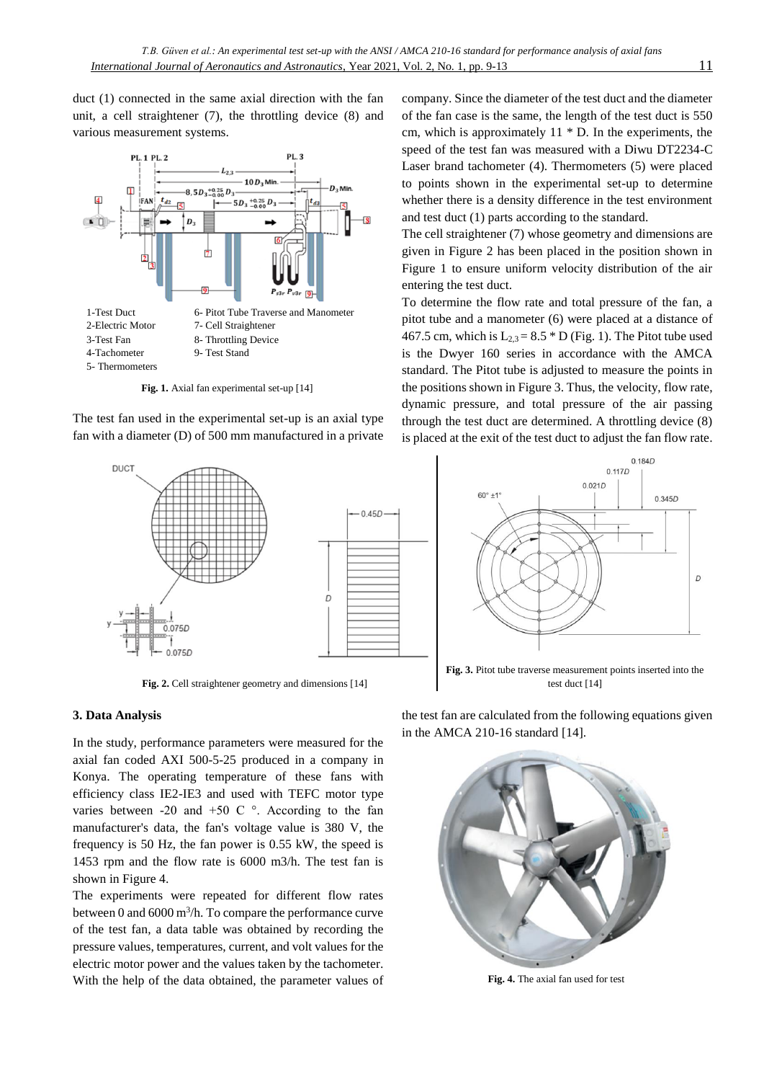duct (1) connected in the same axial direction with the fan unit, a cell straightener (7), the throttling device (8) and various measurement systems.



**Fig. 1.** Axial fan experimental set-up [14]

The test fan used in the experimental set-up is an axial type fan with a diameter (D) of 500 mm manufactured in a private



**Fig. 2.** Cell straightener geometry and dimensions [14]

#### **3. Data Analysis**

In the study, performance parameters were measured for the axial fan coded AXI 500-5-25 produced in a company in Konya. The operating temperature of these fans with efficiency class IE2-IE3 and used with TEFC motor type varies between -20 and +50 C $\degree$ . According to the fan manufacturer's data, the fan's voltage value is 380 V, the frequency is 50 Hz, the fan power is 0.55 kW, the speed is 1453 rpm and the flow rate is 6000 m3/h. The test fan is shown in Figure 4.

The experiments were repeated for different flow rates between 0 and 6000 m<sup>3</sup>/h. To compare the performance curve of the test fan, a data table was obtained by recording the pressure values, temperatures, current, and volt values for the electric motor power and the values taken by the tachometer. With the help of the data obtained, the parameter values of

company. Since the diameter of the test duct and the diameter of the fan case is the same, the length of the test duct is 550 cm, which is approximately 11 \* D. In the experiments, the speed of the test fan was measured with a Diwu DT2234-C Laser brand tachometer (4). Thermometers (5) were placed to points shown in the experimental set-up to determine whether there is a density difference in the test environment and test duct (1) parts according to the standard.

The cell straightener (7) whose geometry and dimensions are given in Figure 2 has been placed in the position shown in Figure 1 to ensure uniform velocity distribution of the air entering the test duct.

To determine the flow rate and total pressure of the fan, a pitot tube and a manometer (6) were placed at a distance of 467.5 cm, which is  $L_{2,3} = 8.5 * D$  (Fig. 1). The Pitot tube used is the Dwyer 160 series in accordance with the AMCA standard. The Pitot tube is adjusted to measure the points in the positions shown in Figure 3. Thus, the velocity, flow rate, dynamic pressure, and total pressure of the air passing through the test duct are determined. A throttling device (8) is placed at the exit of the test duct to adjust the fan flow rate.



**Fig. 3.** Pitot tube traverse measurement points inserted into the test duct [14]

the test fan are calculated from the following equations given in the AMCA 210-16 standard [14].



**Fig. 4.** The axial fan used for test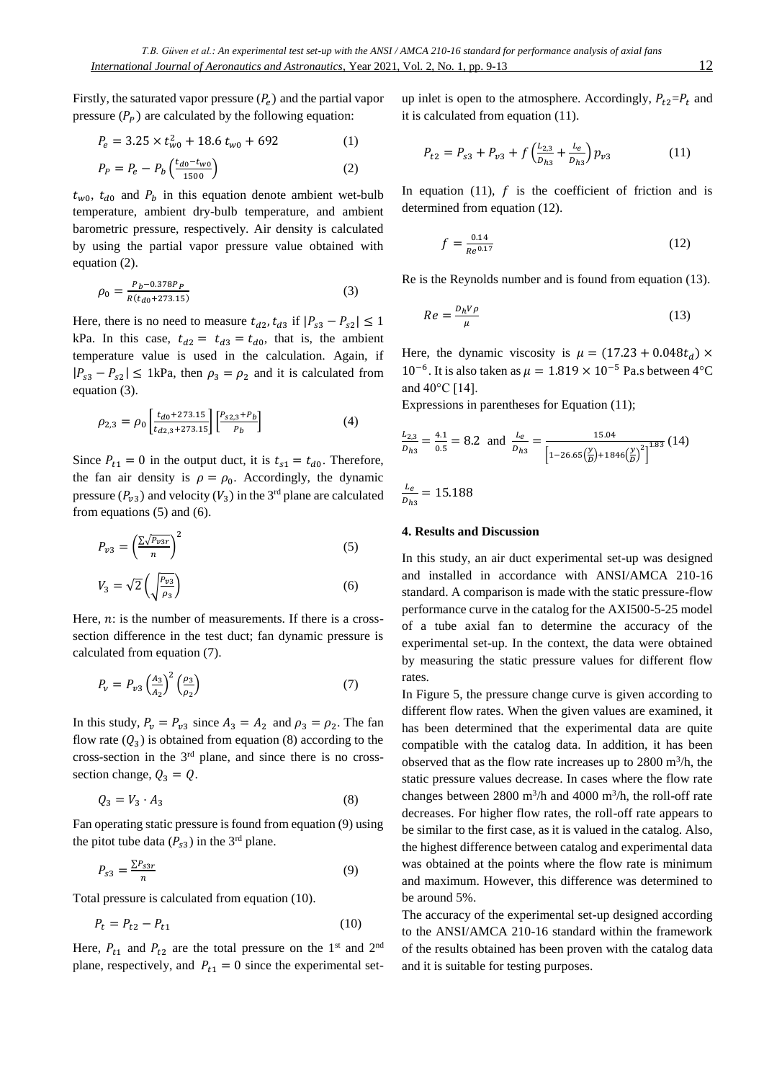Firstly, the saturated vapor pressure  $(P_e)$  and the partial vapor pressure  $(P_P)$  are calculated by the following equation:

$$
P_e = 3.25 \times t_{w0}^2 + 18.6 t_{w0} + 692 \tag{1}
$$

$$
P_P = P_e - P_b \left( \frac{t_{d0} - t_{w0}}{1500} \right) \tag{2}
$$

 $t_{w0}$ ,  $t_{d0}$  and  $P_b$  in this equation denote ambient wet-bulb temperature, ambient dry-bulb temperature, and ambient barometric pressure, respectively. Air density is calculated by using the partial vapor pressure value obtained with equation (2).

$$
\rho_0 = \frac{P_b - 0.378P_P}{R(t_{d0} + 273.15)}
$$
\n(3)

Here, there is no need to measure  $t_{d2}$ ,  $t_{d3}$  if  $|P_{s3} - P_{s2}| \le 1$ kPa. In this case,  $t_{d2} = t_{d3} = t_{d0}$ , that is, the ambient temperature value is used in the calculation. Again, if  $|P_{s3} - P_{s2}| \leq 1$ kPa, then  $\rho_3 = \rho_2$  and it is calculated from equation (3).

$$
\rho_{2,3} = \rho_0 \left[ \frac{t_{d0} + 273.15}{t_{d2,3} + 273.15} \right] \left[ \frac{P_{s2,3} + P_b}{P_b} \right] \tag{4}
$$

Since  $P_{t1} = 0$  in the output duct, it is  $t_{s1} = t_{d0}$ . Therefore, the fan air density is  $\rho = \rho_0$ . Accordingly, the dynamic pressure  $(P_{v3})$  and velocity  $(V_3)$  in the 3<sup>rd</sup> plane are calculated from equations (5) and (6).

$$
P_{v3} = \left(\frac{\sum\sqrt{P_{v3r}}}{n}\right)^2\tag{5}
$$

$$
V_3 = \sqrt{2} \left( \sqrt{\frac{P_{\nu 3}}{\rho_3}} \right) \tag{6}
$$

Here,  $n$ : is the number of measurements. If there is a crosssection difference in the test duct; fan dynamic pressure is calculated from equation (7).

$$
P_{\nu} = P_{\nu 3} \left(\frac{A_3}{A_2}\right)^2 \left(\frac{\rho_3}{\rho_2}\right) \tag{7}
$$

In this study,  $P_v = P_{v3}$  since  $A_3 = A_2$  and  $\rho_3 = \rho_2$ . The fan flow rate  $(Q_3)$  is obtained from equation (8) according to the cross-section in the  $3<sup>rd</sup>$  plane, and since there is no crosssection change,  $Q_3 = Q$ .

$$
Q_3 = V_3 \cdot A_3 \tag{8}
$$

Fan operating static pressure is found from equation (9) using the pitot tube data  $(P_{s3})$  in the 3<sup>rd</sup> plane.

$$
P_{s3} = \frac{\sum P_{s3r}}{n} \tag{9}
$$

Total pressure is calculated from equation (10).

$$
P_t = P_{t2} - P_{t1} \tag{10}
$$

Here,  $P_{t_1}$  and  $P_{t_2}$  are the total pressure on the 1<sup>st</sup> and 2<sup>nd</sup> plane, respectively, and  $P_{t1} = 0$  since the experimental setup inlet is open to the atmosphere. Accordingly,  $P_{t2} = P_t$  and it is calculated from equation (11).

$$
P_{t2} = P_{s3} + P_{v3} + f\left(\frac{L_{2,3}}{D_{h3}} + \frac{L_e}{D_{h3}}\right) p_{v3} \tag{11}
$$

In equation (11),  $f$  is the coefficient of friction and is determined from equation (12).

$$
f = \frac{0.14}{Re^{0.17}}
$$
 (12)

Re is the Reynolds number and is found from equation (13).

$$
Re = \frac{D_h V \rho}{\mu} \tag{13}
$$

Here, the dynamic viscosity is  $\mu = (17.23 + 0.048t_d) \times$  $10^{-6}$ . It is also taken as  $\mu = 1.819 \times 10^{-5}$  Pa.s between 4°C and 40°C [14].

Expressions in parentheses for Equation (11);

$$
\frac{L_{2,3}}{D_{h3}} = \frac{4.1}{0.5} = 8.2 \text{ and } \frac{L_e}{D_{h3}} = \frac{15.04}{\left[1 - 26.65\left(\frac{y}{D}\right) + 1846\left(\frac{y}{D}\right)^2\right]^{1.83}} (14)
$$

$$
\frac{L_e}{D_{h3}} = 15.188
$$

# **4. Results and Discussion**

In this study, an air duct experimental set-up was designed and installed in accordance with ANSI/AMCA 210-16 standard. A comparison is made with the static pressure-flow performance curve in the catalog for the AXI500-5-25 model of a tube axial fan to determine the accuracy of the experimental set-up. In the context, the data were obtained by measuring the static pressure values for different flow rates.

In Figure 5, the pressure change curve is given according to different flow rates. When the given values are examined, it has been determined that the experimental data are quite compatible with the catalog data. In addition, it has been observed that as the flow rate increases up to  $2800 \text{ m}^3/\text{h}$ , the static pressure values decrease. In cases where the flow rate changes between 2800 m<sup>3</sup>/h and 4000 m<sup>3</sup>/h, the roll-off rate decreases. For higher flow rates, the roll-off rate appears to be similar to the first case, as it is valued in the catalog. Also, the highest difference between catalog and experimental data was obtained at the points where the flow rate is minimum and maximum. However, this difference was determined to be around 5%.

The accuracy of the experimental set-up designed according to the ANSI/AMCA 210-16 standard within the framework of the results obtained has been proven with the catalog data and it is suitable for testing purposes.